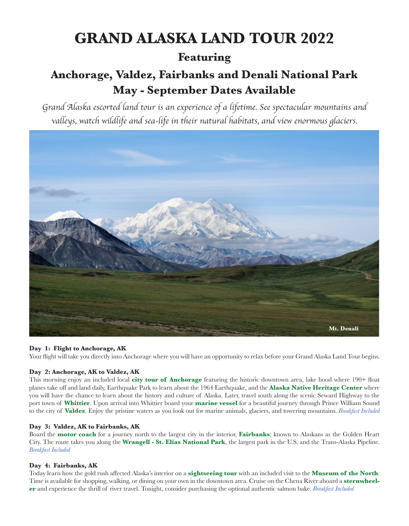# **GRAND ALASKA LAND TOUR 2022**

### **Featuring**

## **Anchorage, Valdez, Fairbanks and Denali National Park May - September Dates Available**

*Grand Alaska escorted land tour is an experience of a lifetime. See spectacular mountains and valleys, watch wildlife and sea-life in their natural habitats, and view enormous glaciers.*



#### **Day 1: Flight to Anchorage, AK**

Your flight will take you directly into Anchorage where you will have an opportunity to relax before your Grand Alaska Land Tour begins.

#### **Day 2: Anchorage, AK to Valdez, AK**

This morning enjoy an included local **city tour of Anchorage** featuring the historic downtown area, lake hood where 190+ float planes take off and land daily, Earthquake Park to learn about the 1964 Earthquake, and the **Alaska Native Heritage Center** where you will have the chance to learn about the history and culture of Alaska. Later, travel south along the scenic Seward Highway to the port town of **Whittier**. Upon arrival into Whittier board your **marine vessel** for a beautiful journey through Prince William Sound to the city of **Valdez**. Enjoy the pristine waters as you look out for marine animals, glaciers, and towering mountains. *Breakfast Included*

#### **Day 3: Valdez, AK to Fairbanks, AK**

Board the **motor coach** for a journey north to the largest city in the interior, **Fairbanks**; known to Alaskans as the Golden Heart City. The route takes you along the **Wrangell - St. Elias National Park**, the largest park in the U.S. and the Trans-Alaska Pipeline. *Breakfast Included*

#### **Day 4: Fairbanks, AK**

Today learn how the gold rush affected Alaska's interior on a **sightseeing tour** with an included visit to the **Museum of the North**. Time is available for shopping, walking, or dining on your own in the downtown area. Cruise on the Chena River aboard a **sternwheeler** and experience the thrill of river travel. Tonight, consider purchasing the optional authentic salmon bake. *Breakfast Included*